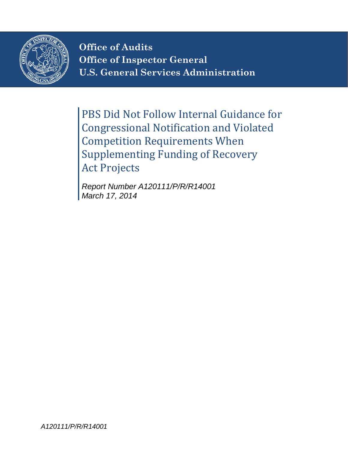

**Office of Audits Office of Inspector General U.S. General Services Administration**

PBS Did Not Follow Internal Guidance for Congressional Notification and Violated Competition Requirements When Supplementing Funding of Recovery Act Projects

*Report Number A120111/P/R/R14001 March 17, 2014*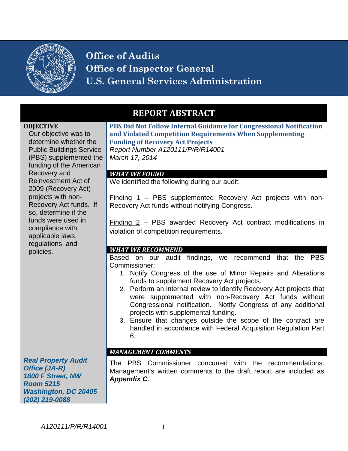

**Office of Audits Office of Inspector General U.S. General Services Administration**

#### **OBJECTIVE**

Our objective was to determine whether the Public Buildings Service (PBS) supplemented the funding of the American Recovery and Reinvestment Act of 2009 (Recovery Act) projects with non-Recovery Act funds. If so, determine if the funds were used in compliance with applicable laws, regulations, and policies.

*Real Property Audit Office (JA-R) 1800 F Street, NW Room 5215 Washington, DC 20405 (202) 219-0088*

## **REPORT ABSTRACT**

**PBS Did Not Follow Internal Guidance for Congressional Notification and Violated Competition Requirements When Supplementing Funding of Recovery Act Projects** *Report Number A120111/P/R/R14001*

*March 17, 2014*

#### *WHAT WE FOUND*

We identified the following during our audit:

Finding 1 – PBS supplemented Recovery Act projects with non-Recovery Act funds without notifying Congress.

Finding 2 – PBS awarded Recovery Act contract modifications in violation of competition requirements.

#### *WHAT WE RECOMMEND*

Based on our audit findings, we recommend that the PBS Commissioner:

- 1. Notify Congress of the use of Minor Repairs and Alterations funds to supplement Recovery Act projects.
- 2. Perform an internal review to identify Recovery Act projects that were supplemented with non-Recovery Act funds without Congressional notification. Notify Congress of any additional projects with supplemental funding.
- 3. Ensure that changes outside the scope of the contract are handled in accordance with Federal Acquisition Regulation Part 6.

## *MANAGEMENT COMMENTS*

The PBS Commissioner concurred with the recommendations. Management's written comments to the draft report are included as *Appendix C*.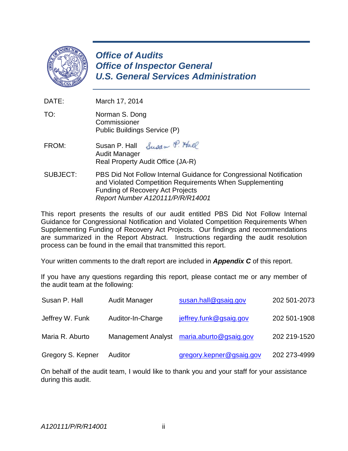

*Office of Audits Office of Inspector General U.S. General Services Administration*

DATE: March 17, 2014

- TO: Norman S. Dong **Commissioner** Public Buildings Service (P)
- Susan P. Hall FROM: Susan P. Hall Audit Manager Real Property Audit Office (JA-R)
- SUBJECT: PBS Did Not Follow Internal Guidance for Congressional Notification and Violated Competition Requirements When Supplementing Funding of Recovery Act Projects *Report Number A120111/P/R/R14001*

This report presents the results of our audit entitled PBS Did Not Follow Internal Guidance for Congressional Notification and Violated Competition Requirements When Supplementing Funding of Recovery Act Projects.Our findings and recommendations are summarized in the Report Abstract. Instructions regarding the audit resolution process can be found in the email that transmitted this report.

Your written comments to the draft report are included in *Appendix C* of this report.

If you have any questions regarding this report, please contact me or any member of the audit team at the following:

| Susan P. Hall     | Audit Manager             | susan.hall@gsaig.gov     | 202 501-2073 |
|-------------------|---------------------------|--------------------------|--------------|
| Jeffrey W. Funk   | Auditor-In-Charge         | jeffrey.funk@gsaig.gov   | 202 501-1908 |
| Maria R. Aburto   | <b>Management Analyst</b> | maria.aburto@gsaig.gov   | 202 219-1520 |
| Gregory S. Kepner | <b>Auditor</b>            | gregory.kepner@gsaig.gov | 202 273-4999 |

On behalf of the audit team, I would like to thank you and your staff for your assistance during this audit.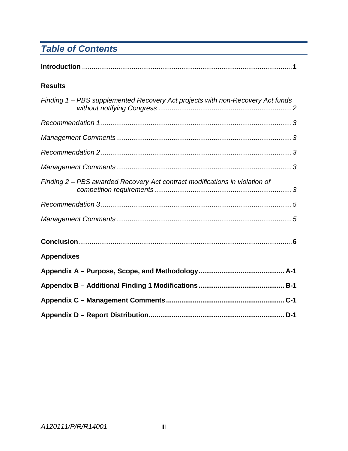# **Table of Contents**

| <b>Results</b>                                                                 |
|--------------------------------------------------------------------------------|
| Finding 1 - PBS supplemented Recovery Act projects with non-Recovery Act funds |
|                                                                                |
|                                                                                |
|                                                                                |
|                                                                                |
| Finding 2 – PBS awarded Recovery Act contract modifications in violation of    |
|                                                                                |
|                                                                                |
|                                                                                |
| <b>Appendixes</b>                                                              |
|                                                                                |
|                                                                                |
|                                                                                |
|                                                                                |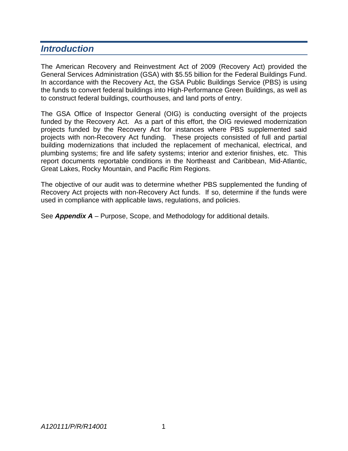## *Introduction*

The American Recovery and Reinvestment Act of 2009 (Recovery Act) provided the General Services Administration (GSA) with \$5.55 billion for the Federal Buildings Fund. In accordance with the Recovery Act, the GSA Public Buildings Service (PBS) is using the funds to convert federal buildings into High-Performance Green Buildings, as well as to construct federal buildings, courthouses, and land ports of entry.

The GSA Office of Inspector General (OIG) is conducting oversight of the projects funded by the Recovery Act. As a part of this effort, the OIG reviewed modernization projects funded by the Recovery Act for instances where PBS supplemented said projects with non-Recovery Act funding. These projects consisted of full and partial building modernizations that included the replacement of mechanical, electrical, and plumbing systems; fire and life safety systems; interior and exterior finishes, etc. This report documents reportable conditions in the Northeast and Caribbean, Mid-Atlantic, Great Lakes, Rocky Mountain, and Pacific Rim Regions.

The objective of our audit was to determine whether PBS supplemented the funding of Recovery Act projects with non-Recovery Act funds. If so, determine if the funds were used in compliance with applicable laws, regulations, and policies.

See *Appendix A* – Purpose, Scope, and Methodology for additional details.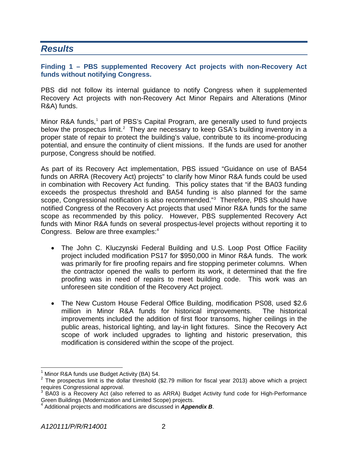## *Results*

### **Finding 1 – PBS supplemented Recovery Act projects with non-Recovery Act funds without notifying Congress.**

PBS did not follow its internal guidance to notify Congress when it supplemented Recovery Act projects with non-Recovery Act Minor Repairs and Alterations (Minor R&A) funds.

Minor R&A funds,<sup>[1](#page-5-0)</sup> part of PBS's Capital Program, are generally used to fund projects below the prospectus limit.<sup>[2](#page-5-1)</sup> They are necessary to keep GSA's building inventory in a proper state of repair to protect the building's value, contribute to its income-producing potential, and ensure the continuity of client missions. If the funds are used for another purpose, Congress should be notified.

As part of its Recovery Act implementation, PBS issued "Guidance on use of BA54 funds on ARRA (Recovery Act) projects" to clarify how Minor R&A funds could be used in combination with Recovery Act funding. This policy states that "if the BA03 funding exceeds the prospectus threshold and BA54 funding is also planned for the same scope, Congressional notification is also recommended."<sup>[3](#page-5-2)</sup> Therefore, PBS should have notified Congress of the Recovery Act projects that used Minor R&A funds for the same scope as recommended by this policy. However, PBS supplemented Recovery Act funds with Minor R&A funds on several prospectus-level projects without reporting it to Congress. Below are three examples:<sup>[4](#page-5-3)</sup>

- The John C. Kluczynski Federal Building and U.S. Loop Post Office Facility project included modification PS17 for \$950,000 in Minor R&A funds. The work was primarily for fire proofing repairs and fire stopping perimeter columns. When the contractor opened the walls to perform its work, it determined that the fire proofing was in need of repairs to meet building code. This work was an unforeseen site condition of the Recovery Act project.
- The New Custom House Federal Office Building, modification PS08, used \$2.6 million in Minor R&A funds for historical improvements. The historical improvements included the addition of first floor transoms, higher ceilings in the public areas, historical lighting, and lay-in light fixtures. Since the Recovery Act scope of work included upgrades to lighting and historic preservation, this modification is considered within the scope of the project.

<span id="page-5-1"></span><span id="page-5-0"></span><sup>&</sup>lt;sup>1</sup> Minor R&A funds use Budget Activity (BA) 54.<br><sup>2</sup> The prospectus limit is the dollar threshold (\$2.79 million for fiscal year 2013) above which a project requires Congressional approval.

<span id="page-5-2"></span> $3$  BA03 is a Recovery Act (also referred to as ARRA) Budget Activity fund code for High-Performance Green Buildings (Modernization and Limited Scope) projects. <sup>4</sup> Additional projects and modifications are discussed in *Appendix B*.

<span id="page-5-3"></span>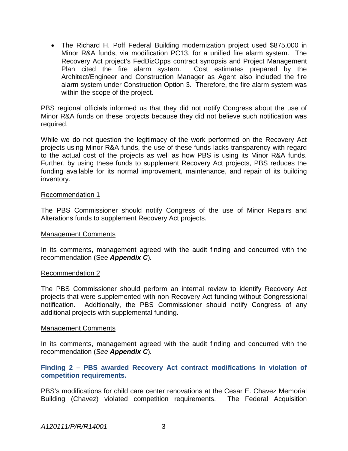• The Richard H. Poff Federal Building modernization project used \$875,000 in Minor R&A funds, via modification PC13, for a unified fire alarm system. The Recovery Act project's FedBizOpps contract synopsis and Project Management<br>Plan cited the fire alarm system. Cost estimates prepared by the Plan cited the fire alarm system. Architect/Engineer and Construction Manager as Agent also included the fire alarm system under Construction Option 3. Therefore, the fire alarm system was within the scope of the project.

PBS regional officials informed us that they did not notify Congress about the use of Minor R&A funds on these projects because they did not believe such notification was required.

While we do not question the legitimacy of the work performed on the Recovery Act projects using Minor R&A funds, the use of these funds lacks transparency with regard to the actual cost of the projects as well as how PBS is using its Minor R&A funds. Further, by using these funds to supplement Recovery Act projects, PBS reduces the funding available for its normal improvement, maintenance, and repair of its building inventory.

#### Recommendation 1

The PBS Commissioner should notify Congress of the use of Minor Repairs and Alterations funds to supplement Recovery Act projects.

#### Management Comments

In its comments, management agreed with the audit finding and concurred with the recommendation (See *Appendix C*)*.*

#### Recommendation 2

The PBS Commissioner should perform an internal review to identify Recovery Act projects that were supplemented with non-Recovery Act funding without Congressional notification. Additionally, the PBS Commissioner should notify Congress of any additional projects with supplemental funding.

#### Management Comments

In its comments, management agreed with the audit finding and concurred with the recommendation (*See Appendix C*)*.*

### **Finding 2 – PBS awarded Recovery Act contract modifications in violation of competition requirements.**

PBS's modifications for child care center renovations at the Cesar E. Chavez Memorial Building (Chavez) violated competition requirements. The Federal Acquisition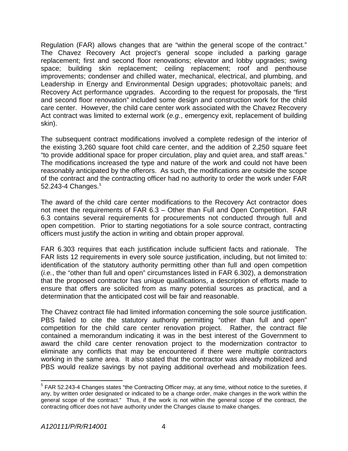Regulation (FAR) allows changes that are "within the general scope of the contract." The Chavez Recovery Act project's general scope included a parking garage replacement; first and second floor renovations; elevator and lobby upgrades; swing space; building skin replacement; ceiling replacement; roof and penthouse improvements; condenser and chilled water, mechanical, electrical, and plumbing, and Leadership in Energy and Environmental Design upgrades; photovoltaic panels; and Recovery Act performance upgrades. According to the request for proposals, the "first and second floor renovation" included some design and construction work for the child care center. However, the child care center work associated with the Chavez Recovery Act contract was limited to external work (*e.g.*, emergency exit, replacement of building skin).

The subsequent contract modifications involved a complete redesign of the interior of the existing 3,260 square foot child care center, and the addition of 2,250 square feet "to provide additional space for proper circulation, play and quiet area, and staff areas." The modifications increased the type and nature of the work and could not have been reasonably anticipated by the offerors. As such, the modifications are outside the scope of the contract and the contracting officer had no authority to order the work under FAR [5](#page-7-0)2.243-4 Changes.<sup>5</sup>

The award of the child care center modifications to the Recovery Act contractor does not meet the requirements of FAR 6.3 – Other than Full and Open Competition. FAR 6.3 contains several requirements for procurements not conducted through full and open competition. Prior to starting negotiations for a sole source contract, contracting officers must justify the action in writing and obtain proper approval.

FAR 6.303 requires that each justification include sufficient facts and rationale. The FAR lists 12 requirements in every sole source justification, including, but not limited to: identification of the statutory authority permitting other than full and open competition (*i.e.*, the "other than full and open" circumstances listed in FAR 6.302), a demonstration that the proposed contractor has unique qualifications, a description of efforts made to ensure that offers are solicited from as many potential sources as practical, and a determination that the anticipated cost will be fair and reasonable.

The Chavez contract file had limited information concerning the sole source justification. PBS failed to cite the statutory authority permitting "other than full and open" competition for the child care center renovation project. Rather, the contract file contained a memorandum indicating it was in the best interest of the Government to award the child care center renovation project to the modernization contractor to eliminate any conflicts that may be encountered if there were multiple contractors working in the same area. It also stated that the contractor was already mobilized and PBS would realize savings by not paying additional overhead and mobilization fees.

<span id="page-7-0"></span><sup>5</sup> FAR 52.243-4 Changes states "the Contracting Officer may, at any time, without notice to the sureties, if any, by written order designated or indicated to be a change order, make changes in the work within the general scope of the contract." Thus, if the work is not within the general scope of the contract, the contracting officer does not have authority under the Changes clause to make changes.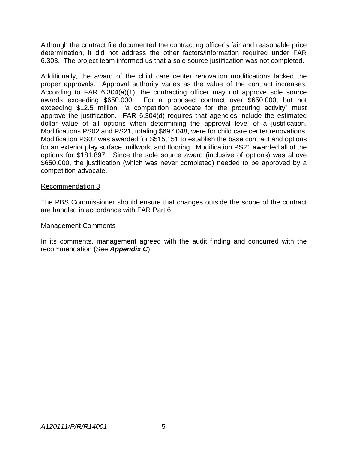Although the contract file documented the contracting officer's fair and reasonable price determination, it did not address the other factors/information required under FAR 6.303. The project team informed us that a sole source justification was not completed.

Additionally, the award of the child care center renovation modifications lacked the proper approvals. Approval authority varies as the value of the contract increases. According to FAR 6.304(a)(1), the contracting officer may not approve sole source awards exceeding \$650,000. For a proposed contract over \$650,000, but not exceeding \$12.5 million, "a competition advocate for the procuring activity" must approve the justification. FAR 6.304(d) requires that agencies include the estimated dollar value of all options when determining the approval level of a justification. Modifications PS02 and PS21, totaling \$697,048, were for child care center renovations. Modification PS02 was awarded for \$515,151 to establish the base contract and options for an exterior play surface, millwork, and flooring. Modification PS21 awarded all of the options for \$181,897. Since the sole source award (inclusive of options) was above \$650,000, the justification (which was never completed) needed to be approved by a competition advocate.

### Recommendation 3

The PBS Commissioner should ensure that changes outside the scope of the contract are handled in accordance with FAR Part 6.

#### Management Comments

In its comments, management agreed with the audit finding and concurred with the recommendation (See *Appendix C*).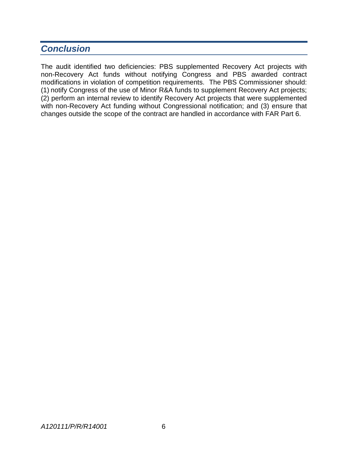## *Conclusion*

The audit identified two deficiencies: PBS supplemented Recovery Act projects with non-Recovery Act funds without notifying Congress and PBS awarded contract modifications in violation of competition requirements. The PBS Commissioner should: (1) notify Congress of the use of Minor R&A funds to supplement Recovery Act projects; (2) perform an internal review to identify Recovery Act projects that were supplemented with non-Recovery Act funding without Congressional notification; and (3) ensure that changes outside the scope of the contract are handled in accordance with FAR Part 6.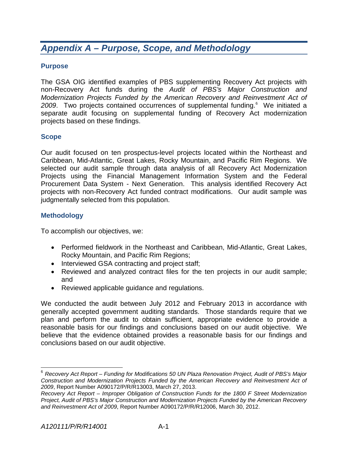## *Appendix A – Purpose, Scope, and Methodology*

## **Purpose**

The GSA OIG identified examples of PBS supplementing Recovery Act projects with non-Recovery Act funds during the *Audit of PBS's Major Construction and Modernization Projects Funded by the American Recovery and Reinvestment Act of*  2009. Two projects contained occurrences of supplemental funding.<sup>[6](#page-10-0)</sup> We initiated a separate audit focusing on supplemental funding of Recovery Act modernization projects based on these findings.

## **Scope**

Our audit focused on ten prospectus-level projects located within the Northeast and Caribbean, Mid-Atlantic, Great Lakes, Rocky Mountain, and Pacific Rim Regions. We selected our audit sample through data analysis of all Recovery Act Modernization Projects using the Financial Management Information System and the Federal Procurement Data System - Next Generation. This analysis identified Recovery Act projects with non-Recovery Act funded contract modifications. Our audit sample was judgmentally selected from this population.

## **Methodology**

To accomplish our objectives, we:

- Performed fieldwork in the Northeast and Caribbean, Mid-Atlantic, Great Lakes, Rocky Mountain, and Pacific Rim Regions;
- Interviewed GSA contracting and project staff;
- Reviewed and analyzed contract files for the ten projects in our audit sample; and
- Reviewed applicable guidance and regulations.

We conducted the audit between July 2012 and February 2013 in accordance with generally accepted government auditing standards. Those standards require that we plan and perform the audit to obtain sufficient, appropriate evidence to provide a reasonable basis for our findings and conclusions based on our audit objective. We believe that the evidence obtained provides a reasonable basis for our findings and conclusions based on our audit objective.

<span id="page-10-0"></span><sup>6</sup> *Recovery Act Report – Funding for Modifications 50 UN Plaza Renovation Project, Audit of PBS's Major Construction and Modernization Projects Funded by the American Recovery and Reinvestment Act of 2009*, Report Number A090172/P/R/R13003, March 27, 2013.

*Recovery Act Report – Improper Obligation of Construction Funds for the 1800 F Street Modernization Project, Audit of PBS's Major Construction and Modernization Projects Funded by the American Recovery and Reinvestment Act of 2009*, Report Number A090172/P/R/R12006, March 30, 2012.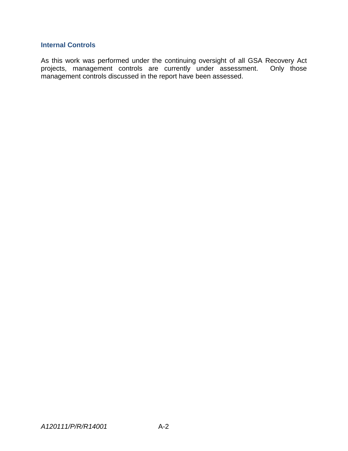## **Internal Controls**

As this work was performed under the continuing oversight of all GSA Recovery Act projects, management controls are currently under assessment. Only those management controls discussed in the report have been assessed.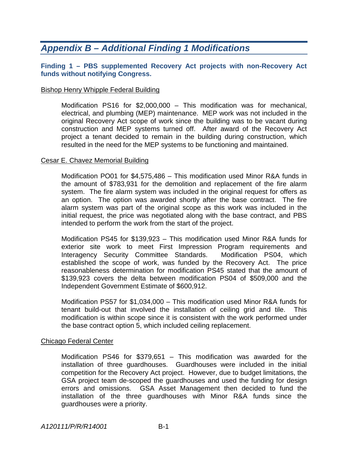## *Appendix B – Additional Finding 1 Modifications*

### **Finding 1 – PBS supplemented Recovery Act projects with non-Recovery Act funds without notifying Congress.**

#### Bishop Henry Whipple Federal Building

Modification PS16 for \$2,000,000 – This modification was for mechanical, electrical, and plumbing (MEP) maintenance. MEP work was not included in the original Recovery Act scope of work since the building was to be vacant during construction and MEP systems turned off. After award of the Recovery Act project a tenant decided to remain in the building during construction, which resulted in the need for the MEP systems to be functioning and maintained.

#### Cesar E. Chavez Memorial Building

Modification PO01 for \$4,575,486 – This modification used Minor R&A funds in the amount of \$783,931 for the demolition and replacement of the fire alarm system. The fire alarm system was included in the original request for offers as an option. The option was awarded shortly after the base contract. The fire alarm system was part of the original scope as this work was included in the initial request, the price was negotiated along with the base contract, and PBS intended to perform the work from the start of the project.

Modification PS45 for \$139,923 – This modification used Minor R&A funds for exterior site work to meet First Impression Program requirements and Interagency Security Committee Standards. Modification PS04, which established the scope of work, was funded by the Recovery Act. The price reasonableness determination for modification PS45 stated that the amount of \$139,923 covers the delta between modification PS04 of \$509,000 and the Independent Government Estimate of \$600,912.

Modification PS57 for \$1,034,000 – This modification used Minor R&A funds for tenant build-out that involved the installation of ceiling grid and tile. This modification is within scope since it is consistent with the work performed under the base contract option 5, which included ceiling replacement.

### Chicago Federal Center

Modification PS46 for \$379,651 – This modification was awarded for the installation of three guardhouses. Guardhouses were included in the initial competition for the Recovery Act project. However, due to budget limitations, the GSA project team de-scoped the guardhouses and used the funding for design errors and omissions. GSA Asset Management then decided to fund the installation of the three guardhouses with Minor R&A funds since the guardhouses were a priority.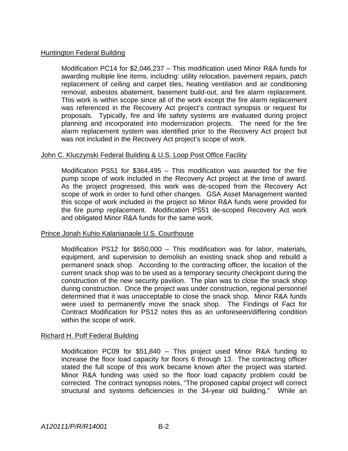### Huntington Federal Building

Modification PC14 for \$2,046,237 – This modification used Minor R&A funds for awarding multiple line items, including: utility relocation, pavement repairs, patch replacement of ceiling and carpet tiles, heating ventilation and air conditioning removal, asbestos abatement, basement build-out, and fire alarm replacement. This work is within scope since all of the work except the fire alarm replacement was referenced in the Recovery Act project's contract synopsis or request for proposals. Typically, fire and life safety systems are evaluated during project planning and incorporated into modernization projects. The need for the fire alarm replacement system was identified prior to the Recovery Act project but was not included in the Recovery Act project's scope of work.

## John C. Kluczynski Federal Building & U.S. Loop Post Office Facility

Modification PS51 for \$364,495 – This modification was awarded for the fire pump scope of work included in the Recovery Act project at the time of award. As the project progressed, this work was de-scoped from the Recovery Act scope of work in order to fund other changes. GSA Asset Management wanted this scope of work included in the project so Minor R&A funds were provided for the fire pump replacement. Modification PS51 de-scoped Recovery Act work and obligated Minor R&A funds for the same work.

### Prince Jonah Kuhio Kalanianaole U.S. Courthouse

Modification PS12 for \$650,000 – This modification was for labor, materials, equipment, and supervision to demolish an existing snack shop and rebuild a permanent snack shop. According to the contracting officer, the location of the current snack shop was to be used as a temporary security checkpoint during the construction of the new security pavilion. The plan was to close the snack shop during construction. Once the project was under construction, regional personnel determined that it was unacceptable to close the snack shop. Minor R&A funds were used to permanently move the snack shop. The Findings of Fact for Contract Modification for PS12 notes this as an unforeseen/differing condition within the scope of work.

### Richard H. Poff Federal Building

Modification PC09 for \$51,840 – This project used Minor R&A funding to increase the floor load capacity for floors 6 through 13. The contracting officer stated the full scope of this work became known after the project was started. Minor R&A funding was used so the floor load capacity problem could be corrected. The contract synopsis notes, "The proposed capital project will correct structural and systems deficiencies in the 34-year old building." While an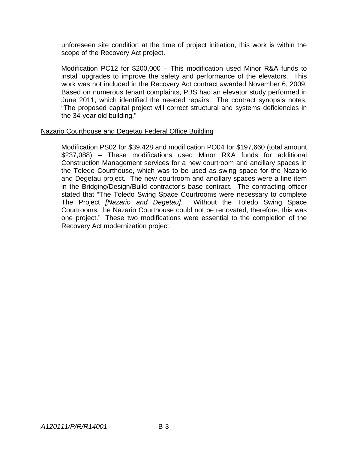unforeseen site condition at the time of project initiation, this work is within the scope of the Recovery Act project.

Modification PC12 for \$200,000 – This modification used Minor R&A funds to install upgrades to improve the safety and performance of the elevators. This work was not included in the Recovery Act contract awarded November 6, 2009. Based on numerous tenant complaints, PBS had an elevator study performed in June 2011, which identified the needed repairs. The contract synopsis notes, "The proposed capital project will correct structural and systems deficiencies in the 34-year old building."

#### Nazario Courthouse and Degetau Federal Office Building

Modification PS02 for \$39,428 and modification PO04 for \$197,660 (total amount \$237,088) – These modifications used Minor R&A funds for additional Construction Management services for a new courtroom and ancillary spaces in the Toledo Courthouse, which was to be used as swing space for the Nazario and Degetau project. The new courtroom and ancillary spaces were a line item in the Bridging/Design/Build contractor's base contract. The contracting officer stated that "The Toledo Swing Space Courtrooms were necessary to complete The Project *[Nazario and Degetau]*. Without the Toledo Swing Space Courtrooms, the Nazario Courthouse could not be renovated, therefore, this was one project." These two modifications were essential to the completion of the Recovery Act modernization project.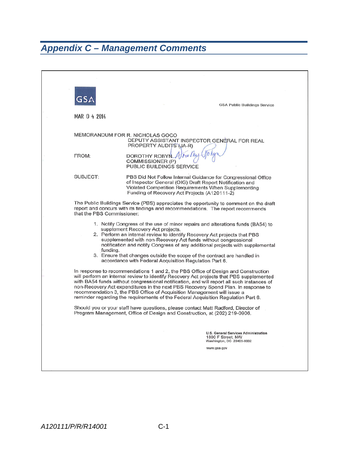# *Appendix C – Management Comments*

|                            | <b>GSA Public Buildings Service</b>                                                                                                                                                                                                                                                                                                                                                                                                                                                                                            |  |
|----------------------------|--------------------------------------------------------------------------------------------------------------------------------------------------------------------------------------------------------------------------------------------------------------------------------------------------------------------------------------------------------------------------------------------------------------------------------------------------------------------------------------------------------------------------------|--|
| MAR 0 4 2014               |                                                                                                                                                                                                                                                                                                                                                                                                                                                                                                                                |  |
|                            | MEMORANDUM FOR R. NICHOLAS GOCO<br>DEPUTY ASSISTANT INSPECTOR GENERAL FOR REAL<br>PROPERTY AUDITS (JA-R)                                                                                                                                                                                                                                                                                                                                                                                                                       |  |
| FROM:                      | DOROTHY ROBYN Altie I kg<br>COMMISSIONER (P)<br>PUBLIC BUILDINGS SERVICE                                                                                                                                                                                                                                                                                                                                                                                                                                                       |  |
| SUBJECT:                   | PBS Did Not Follow Internal Guidance for Congressional Office<br>of Inspector General (OIG) Draft Report Notification and<br>Violated Competition Requirements When Supplementing<br>Funding of Recovery Act Projects (A120111-2)                                                                                                                                                                                                                                                                                              |  |
| that the PBS Commissioner: | The Public Buildings Service (PBS) appreciates the opportunity to comment on the draft<br>report and concurs with its findings and recommendations. The report recommends                                                                                                                                                                                                                                                                                                                                                      |  |
| funding.                   | 1. Notify Congress of the use of minor repairs and alterations funds (BA54) to<br>supplement Recovery Act projects.<br>2. Perform an internal review to identify Recovery Act projects that PBS<br>supplemented with non-Recovery Act funds without congressional<br>notification and notify Congress of any additional projects with supplemental<br>3. Ensure that changes outside the scope of the contract are handled in<br>accordance with Federal Acquisition Regulation Part 6.                                        |  |
|                            | In response to recommendations 1 and 2, the PBS Office of Design and Construction<br>will perform an internal review to identify Recovery Act projects that PBS supplemented<br>with BA54 funds without congressional notification, and will report all such instances of<br>non-Recovery Act expenditures in the next PBS Recovery Spend Plan. In response to<br>recommendation 3, the PBS Office of Acquisition Management will issue a<br>reminder regarding the requirements of the Federal Acquisition Regulation Part 6. |  |
|                            | Should you or your staff have questions, please contact Matt Radford, Director of<br>Program Management, Office of Design and Construction, at (202) 219-0906.                                                                                                                                                                                                                                                                                                                                                                 |  |
|                            |                                                                                                                                                                                                                                                                                                                                                                                                                                                                                                                                |  |
|                            | U.S. General Services Administration<br>1800 F Street, NW<br>Washington, DC 20405-0002                                                                                                                                                                                                                                                                                                                                                                                                                                         |  |
|                            | www.gsa.gov                                                                                                                                                                                                                                                                                                                                                                                                                                                                                                                    |  |
|                            |                                                                                                                                                                                                                                                                                                                                                                                                                                                                                                                                |  |